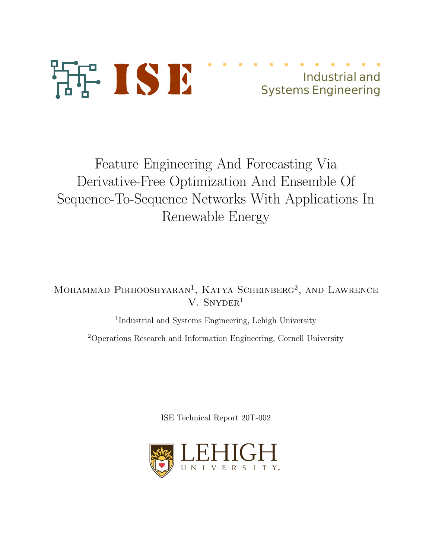

# Feature Engineering And Forecasting Via Derivative-Free Optimization And Ensemble Of Sequence-To-Sequence Networks With Applications In Renewable Energy

Mohammad Pirhooshyaran<sup>1</sup>, Katya Scheinberg<sup>2</sup>, and Lawrence V. SNYDER $<sup>1</sup>$ </sup>

<sup>1</sup>Industrial and Systems Engineering, Lehigh University

<sup>2</sup>Operations Research and Information Engineering, Cornell University

ISE Technical Report 20T-002

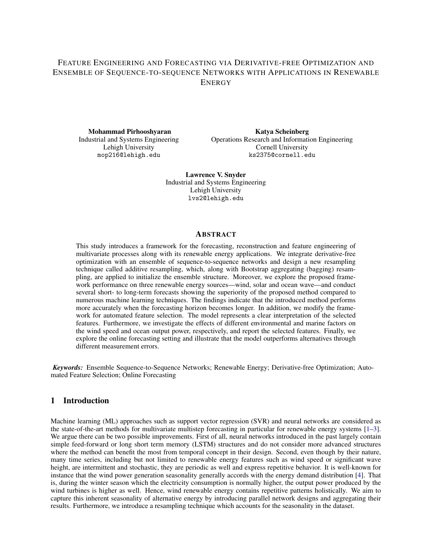### FEATURE ENGINEERING AND FORECASTING VIA DERIVATIVE-FREE OPTIMIZATION AND ENSEMBLE OF SEQUENCE-TO-SEQUENCE NETWORKS WITH APPLICATIONS IN RENEWABLE **ENERGY**

Mohammad Pirhooshyaran Industrial and Systems Engineering Lehigh University mop216@lehigh.edu

Katya Scheinberg Operations Research and Information Engineering Cornell University ks2375@cornell.edu

Lawrence V. Snyder Industrial and Systems Engineering Lehigh University lvs2@lehigh.edu

#### **ABSTRACT**

This study introduces a framework for the forecasting, reconstruction and feature engineering of multivariate processes along with its renewable energy applications. We integrate derivative-free optimization with an ensemble of sequence-to-sequence networks and design a new resampling technique called additive resampling, which, along with Bootstrap aggregating (bagging) resampling, are applied to initialize the ensemble structure. Moreover, we explore the proposed framework performance on three renewable energy sources—wind, solar and ocean wave—and conduct several short- to long-term forecasts showing the superiority of the proposed method compared to numerous machine learning techniques. The findings indicate that the introduced method performs more accurately when the forecasting horizon becomes longer. In addition, we modify the framework for automated feature selection. The model represents a clear interpretation of the selected features. Furthermore, we investigate the effects of different environmental and marine factors on the wind speed and ocean output power, respectively, and report the selected features. Finally, we explore the online forecasting setting and illustrate that the model outperforms alternatives through different measurement errors.

*Keywords:* Ensemble Sequence-to-Sequence Networks; Renewable Energy; Derivative-free Optimization; Automated Feature Selection; Online Forecasting

#### 1 Introduction

Machine learning (ML) approaches such as support vector regression (SVR) and neural networks are considered as the state-of-the-art methods for multivariate multistep forecasting in particular for renewable energy systems [1–3]. We argue there can be two possible improvements. First of all, neural networks introduced in the past largely contain simple feed-forward or long short term memory (LSTM) structures and do not consider more advanced structures where the method can benefit the most from temporal concept in their design. Second, even though by their nature, many time series, including but not limited to renewable energy features such as wind speed or significant wave height, are intermittent and stochastic, they are periodic as well and express repetitive behavior. It is well-known for instance that the wind power generation seasonality generally accords with the energy demand distribution [4]. That is, during the winter season which the electricity consumption is normally higher, the output power produced by the wind turbines is higher as well. Hence, wind renewable energy contains repetitive patterns holistically. We aim to capture this inherent seasonality of alternative energy by introducing parallel network designs and aggregating their results. Furthermore, we introduce a resampling technique which accounts for the seasonality in the dataset.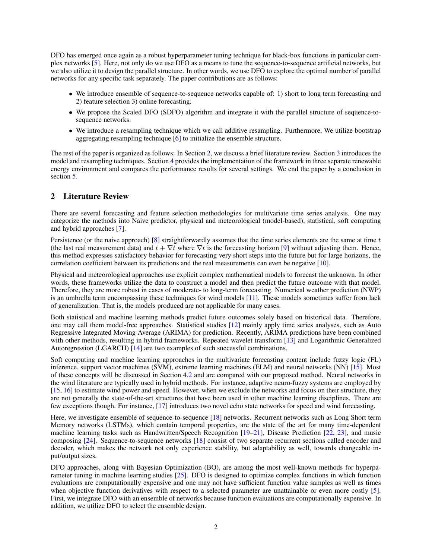DFO has emerged once again as a robust hyperparameter tuning technique for black-box functions in particular complex networks [5]. Here, not only do we use DFO as a means to tune the sequence-to-sequence artificial networks, but we also utilize it to design the parallel structure. In other words, we use DFO to explore the optimal number of parallel networks for any specific task separately. The paper contributions are as follows:

- We introduce ensemble of sequence-to-sequence networks capable of: 1) short to long term forecasting and 2) feature selection 3) online forecasting.
- We propose the Scaled DFO (SDFO) algorithm and integrate it with the parallel structure of sequence-tosequence networks.
- We introduce a resampling technique which we call additive resampling. Furthermore, We utilize bootstrap aggregating resampling technique [6] to initialize the ensemble structure.

The rest of the paper is organized as follows: In Section 2, we discuss a brief literature review. Section 3 introduces the model and resampling techniques. Section 4 provides the implementation of the framework in three separate renewable energy environment and compares the performance results for several settings. We end the paper by a conclusion in section 5.

#### 2 Literature Review

There are several forecasting and feature selection methodologies for multivariate time series analysis. One may categorize the methods into Naive predictor, physical and meteorological (model-based), statistical, soft computing and hybrid approaches [7].

Persistence (or the naive approach) [8] straightforwardly assumes that the time series elements are the same at time  $t$ (the last real measurement data) and  $t + \nabla t$  where  $\nabla t$  is the forecasting horizon [9] without adjusting them. Hence, this method expresses satisfactory behavior for forecasting very short steps into the future but for large horizons, the correlation coefficient between its predictions and the real measurements can even be negative [10].

Physical and meteorological approaches use explicit complex mathematical models to forecast the unknown. In other words, these frameworks utilize the data to construct a model and then predict the future outcome with that model. Therefore, they are more robust in cases of moderate- to long-term forecasting. Numerical weather prediction (NWP) is an umbrella term encompassing these techniques for wind models [11]. These models sometimes suffer from lack of generalization. That is, the models produced are not applicable for many cases.

Both statistical and machine learning methods predict future outcomes solely based on historical data. Therefore, one may call them model-free approaches. Statistical studies [12] mainly apply time series analyses, such as Auto Regressive Integrated Moving Average (ARIMA) for prediction. Recently, ARIMA predictions have been combined with other methods, resulting in hybrid frameworks. Repeated wavelet transform [13] and Logarithmic Generalized Autoregression (LGARCH) [14] are two examples of such successful combinations.

Soft computing and machine learning approaches in the multivariate forecasting content include fuzzy logic (FL) inference, support vector machines (SVM), extreme learning machines (ELM) and neural networks (NN) [15]. Most of these concepts will be discussed in Section 4.2 and are compared with our proposed method. Neural networks in the wind literature are typically used in hybrid methods. For instance, adaptive neuro-fuzzy systems are employed by [15, 16] to estimate wind power and speed. However, when we exclude the networks and focus on their structure, they are not generally the state-of-the-art structures that have been used in other machine learning disciplines. There are few exceptions though. For instance, [17] introduces two novel echo state networks for speed and wind forecasting.

Here, we investigate ensemble of sequence-to-sequence [18] networks. Recurrent networks such as Long Short term Memory networks (LSTMs), which contain temporal properties, are the state of the art for many time-dependent machine learning tasks such as Handwritten/Speech Recognition [19–21], Disease Prediction [22, 23], and music composing [24]. Sequence-to-sequence networks [18] consist of two separate recurrent sections called encoder and decoder, which makes the network not only experience stability, but adaptability as well, towards changeable input/output sizes.

DFO approaches, along with Bayesian Optimization (BO), are among the most well-known methods for hyperparameter tuning in machine learning studies [25]. DFO is designed to optimize complex functions in which function evaluations are computationally expensive and one may not have sufficient function value samples as well as times when objective function derivatives with respect to a selected parameter are unattainable or even more costly [5]. First, we integrate DFO with an ensemble of networks because function evaluations are computationally expensive. In addition, we utilize DFO to select the ensemble design.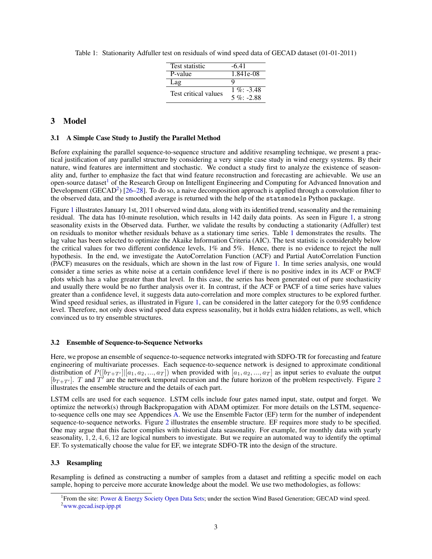| <b>Test statistic</b> | $-6.41$       |
|-----------------------|---------------|
| P-value               | 1.841e-08     |
| Lag                   |               |
| Test critical values  | $1\%$ : -3.48 |
|                       | $5\%$ : -2.88 |

Table 1: Stationarity Adfuller test on residuals of wind speed data of GECAD dataset (01-01-2011)

#### 3 Model

#### 3.1 A Simple Case Study to Justify the Parallel Method

Before explaining the parallel sequence-to-sequence structure and additive resampling technique, we present a practical justification of any parallel structure by considering a very simple case study in wind energy systems. By their nature, wind features are intermittent and stochastic. We conduct a study first to analyze the existence of seasonality and, further to emphasize the fact that wind feature reconstruction and forecasting are achievable. We use an open-source dataset<sup>1</sup> of the Research Group on Intelligent Engineering and Computing for Advanced Innovation and Development (GECAD<sup>2</sup>) [26–28]. To do so, a naive decomposition approach is applied through a convolution filter to the observed data, and the smoothed average is returned with the help of the statsmodels Python package.

Figure 1 illustrates January 1st, 2011 observed wind data, along with its identified trend, seasonality and the remaining residual. The data has 10-minute resolution, which results in 142 daily data points. As seen in Figure 1, a strong seasonality exists in the Observed data. Further, we validate the results by conducting a stationarity (Adfuller) test on residuals to monitor whether residuals behave as a stationary time series. Table 1 demonstrates the results. The lag value has been selected to optimize the Akaike Information Criteria (AIC). The test statistic is considerably below the critical values for two different confidence levels, 1% and 5%. Hence, there is no evidence to reject the null hypothesis. In the end, we investigate the AutoCorrelation Function (ACF) and Partial AutoCorrelation Function (PACF) measures on the residuals, which are shown in the last row of Figure 1. In time series analysis, one would consider a time series as white noise at a certain confidence level if there is no positive index in its ACF or PACF plots which has a value greater than that level. In this case, the series has been generated out of pure stochasticity and usually there would be no further analysis over it. In contrast, if the ACF or PACF of a time series have values greater than a confidence level, it suggests data auto-correlation and more complex structures to be explored further. Wind speed residual series, as illustrated in Figure 1, can be considered in the latter category for the 0.95 confidence level. Therefore, not only does wind speed data express seasonality, but it holds extra hidden relations, as well, which convinced us to try ensemble structures.

#### 3.2 Ensemble of Sequence-to-Sequence Networks

Here, we propose an ensemble of sequence-to-sequence networks integrated with SDFO-TR for forecasting and feature engineering of multivariate processes. Each sequence-to-sequence network is designed to approximate conditional distribution of  $P([b_{T+T'}] | [a_1, a_2, ..., a_T])$  when provided with  $[a_1, a_2, ..., a_T]$  as input series to evaluate the output  $[b_{T+T'}]$ . T and T' are the network temporal recursion and the future horizon of the problem respectively. Figure 2 illustrates the ensemble structure and the details of each part.

LSTM cells are used for each sequence. LSTM cells include four gates named input, state, output and forget. We optimize the network(s) through Backpropagation with ADAM optimizer. For more details on the LSTM, sequenceto-sequence cells one may see Appendices A. We use the Ensemble Factor (EF) term for the number of independent sequence-to-sequence networks. Figure 2 illustrates the ensemble structure. EF requires more study to be specified. One may argue that this factor complies with historical data seasonality. For example, for monthly data with yearly seasonality,  $1, 2, 4, 6, 12$  are logical numbers to investigate. But we require an automated way to identify the optimal EF. To systematically choose the value for EF, we integrate SDFO-TR into the design of the structure.

#### 3.3 Resampling

Resampling is defined as constructing a number of samples from a dataset and refitting a specific model on each sample, hoping to perceive more accurate knowledge about the model. We use two methodologies, as follows:

<sup>&</sup>lt;sup>1</sup> From the site: Power & Energy Society Open Data Sets; under the section Wind Based Generation; GECAD wind speed. <sup>2</sup>www.gecad.isep.ipp.pt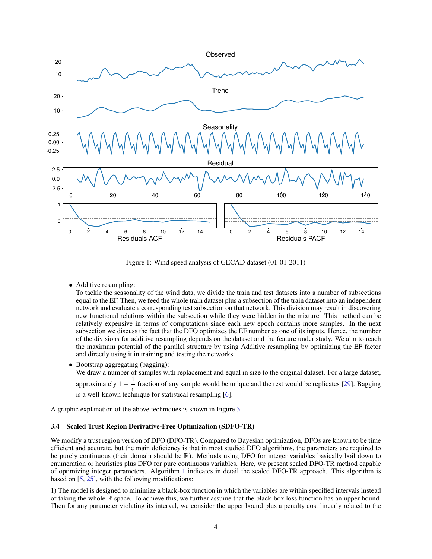

Figure 1: Wind speed analysis of GECAD dataset (01-01-2011)

• Additive resampling:

To tackle the seasonality of the wind data, we divide the train and test datasets into a number of subsections equal to the EF. Then, we feed the whole train dataset plus a subsection of the train dataset into an independent network and evaluate a corresponding test subsection on that network. This division may result in discovering new functional relations within the subsection while they were hidden in the mixture. This method can be relatively expensive in terms of computations since each new epoch contains more samples. In the next subsection we discuss the fact that the DFO optimizes the EF number as one of its inputs. Hence, the number of the divisions for additive resampling depends on the dataset and the feature under study. We aim to reach the maximum potential of the parallel structure by using Additive resampling by optimizing the EF factor and directly using it in training and testing the networks.

- Bootstrap aggregating (bagging): We draw a number of samples with replacement and equal in size to the original dataset. For a large dataset, approximately 1 –  $\frac{1}{e}$  fraction of any sample would be unique and the rest would be replicates [29]. Bagging
	- $e^{i\theta}$  is a well-known technique for statistical resampling [6].

A graphic explanation of the above techniques is shown in Figure 3.

#### 3.4 Scaled Trust Region Derivative-Free Optimization (SDFO-TR)

We modify a trust region version of DFO (DFO-TR). Compared to Bayesian optimization, DFOs are known to be time efficient and accurate, but the main deficiency is that in most studied DFO algorithms, the parameters are required to be purely continuous (their domain should be R). Methods using DFO for integer variables basically boil down to enumeration or heuristics plus DFO for pure continuous variables. Here, we present scaled DFO-TR method capable of optimizing integer parameters. Algorithm 1 indicates in detail the scaled DFO-TR approach. This algorithm is based on [5, 25], with the following modifications:

1) The model is designed to minimize a black-box function in which the variables are within specified intervals instead of taking the whole R space. To achieve this, we further assume that the black-box loss function has an upper bound. Then for any parameter violating its interval, we consider the upper bound plus a penalty cost linearly related to the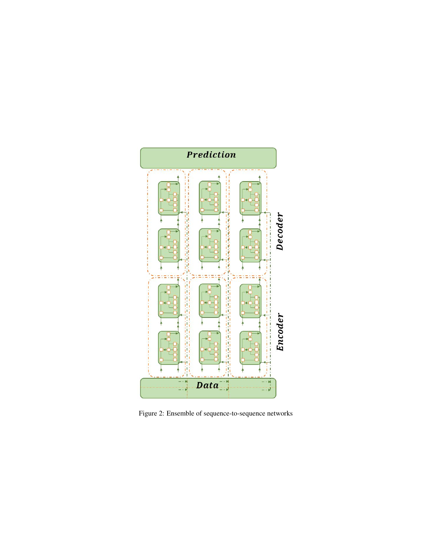

Figure 2: Ensemble of sequence-to-sequence networks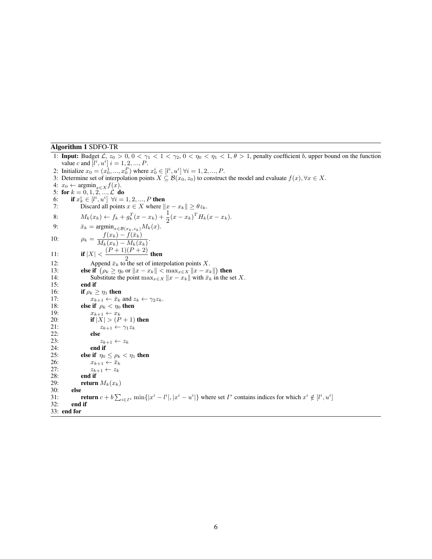#### Algorithm 1 SDFO-TR

1: **Input:** Budget  $\mathcal{L}, z_0 > 0, 0 < \gamma_1 < 1 < \gamma_2, 0 < \eta_0 < \eta_1 < 1, \theta > 1$ , penalty coefficient *b*, upper bound on the function value *c* and  $[i^i, u^i]$   $i = 1, 2, ..., P$ . 2: Initialize  $x_0 = (x_0^1, ..., x_0^P)$  where  $x_0^i \in [l^i, u^i]$   $\forall i = 1, 2, ..., P$ . 3: Determine set of interpolation points  $X \subseteq \mathcal{B}(x_0, z_0)$  to construct the model and evaluate  $f(x), \forall x \in X$ . 4:  $x_0 \leftarrow \operatorname{argmin}_{x \in X} f(x)$ . 5: for  $k = 0, 1, 2, ..., \mathcal{L}$  do<br>6: if  $x_k^i \in [l^i, u^i]$   $\forall i = 1, 2, ..., P$  then 7: Discard all points  $x \in X$  where  $||x - x_k|| \ge \theta z_k$ . 8:  $M_k(x_k) \leftarrow f_k + g_k^T(x - x_k) + \frac{1}{2}(x - x_k)^T H_k(x - x_k).$ 9:  $\bar{x}_k = \operatorname{argmin}_{x \in \mathcal{B}(x_k, z_k)} M_k(x).$ 10:  $\rho_k = \frac{f(x_k) - f(\bar{x}_k)}{M(\bar{x}_k) - M(\bar{x}_k)}$  $\frac{f(x_k)-f(x_k)}{M_k(x_k)-M_k(\bar{x}_k)}$ 11: **if**  $|X| < \frac{(P+1)(P+2)}{2}$  $\frac{2}{2}$  then 12: Append  $\bar{x}_k$  to the set of interpolation points X. 13: **else if**  $(\rho_k \ge \eta_0 \text{ or } ||x - x_k|| < \max_{x \in \mathcal{X}} ||x - x_k||)$  then 14: Substitute the point  $\max_{x \in X} ||x - x_k||$  with  $\bar{x}_k$  in the set X.<br>15: **end if** end if 16: **if**  $\rho_k \geq \eta_1$  **then**<br>17:  $x_{k+1} \leftarrow \bar{x}_k$ 17:  $x_{k+1} \leftarrow \bar{x}_k$  and  $z_k \leftarrow \gamma_2 z_k$ .<br>18: **else if**  $\rho_k < \eta_0$  **then** 18: **else if**  $\rho_k < \eta_0$  then<br>19:  $x_{k+1} \leftarrow x_k$ 19:  $x_{k+1} \leftarrow x_k$ <br>
20:  $\text{if } |X| > (P)$ 20: **if**  $|\overline{X}| > (\overline{P} + 1)$  then<br>21:  $z_{k+1} \leftarrow \gamma_1 z_k$ 21:  $z_{k+1} \leftarrow \gamma_1 z_k$ <br>22: **else** 22: else<br>
23: 23:  $z_{k+1} \leftarrow z_k$ <br>24: **end if** 24: **end if**<br>25: **else if**  $n_0$ 25: **else if**  $\eta_0 \leq \rho_k < \eta_1$  then<br>26:  $x_{k+1} \leftarrow \bar{x}_k$ 26:  $x_{k+1} \leftarrow \bar{x}_k$ <br>27:  $z_{k+1} \leftarrow z_k$ 27:  $z_{k+1} \leftarrow z_k$ <br>28: **end if** 28: **end if**<br>29: **end if** 29: **return**  $M_k(x_k)$ <br>30: **else** 30: **else**<br>31: 1 31: return  $c + b \sum_{i \in I^*} \min\{|x^i - l^i|, |x^i - u^i|\}$  where set  $I^*$  contains indices for which  $x^i \notin [l^i, u^i]$ 32: end if 33: end for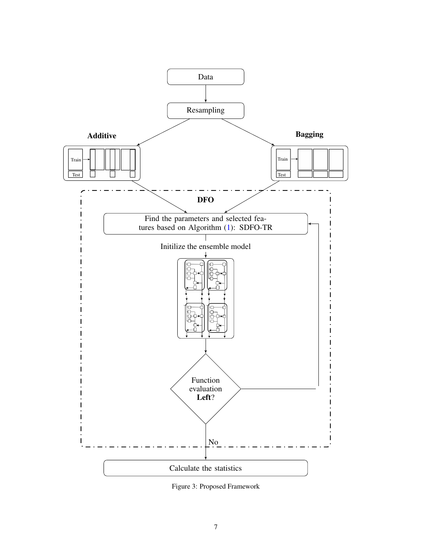

Figure 3: Proposed Framework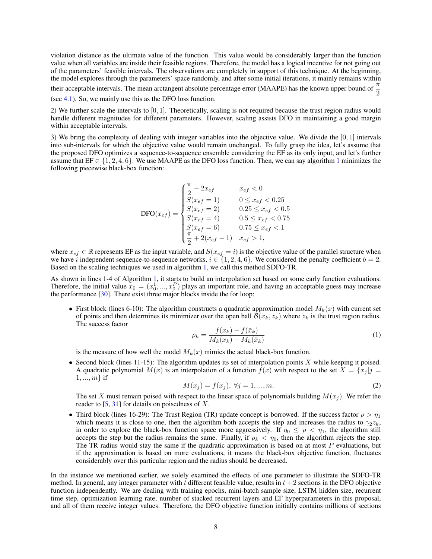violation distance as the ultimate value of the function. This value would be considerably larger than the function value when all variables are inside their feasible regions. Therefore, the model has a logical incentive for not going out of the parameters' feasible intervals. The observations are completely in support of this technique. At the beginning, the model explores through the parameters' space randomly, and after some initial iterations, it mainly remains within

their acceptable intervals. The mean arctangent absolute percentage error (MAAPE) has the known upper bound of  $\frac{\pi}{2}$ (see 4.1). So, we mainly use this as the DFO loss function.

2) We further scale the intervals to [0, 1]. Theoretically, scaling is not required because the trust region radius would handle different magnitudes for different parameters. However, scaling assists DFO in maintaining a good margin within acceptable intervals.

3) We bring the complexity of dealing with integer variables into the objective value. We divide the [0, 1] intervals into sub-intervals for which the objective value would remain unchanged. To fully grasp the idea, let's assume that the proposed DFO optimizes a sequence-to-sequence ensemble considering the EF as its only input, and let's further assume that  $EF \in \{1, 2, 4, 6\}$ . We use MAAPE as the DFO loss function. Then, we can say algorithm 1 minimizes the following piecewise black-box function:

$$
\text{DFO}(x_{ef}) = \begin{cases} \frac{\pi}{2} - 2x_{ef} & x_{ef} < 0\\ S(x_{ef} = 1) & 0 \le x_{ef} < 0.25\\ S(x_{ef} = 2) & 0.25 \le x_{ef} < 0.5\\ S(x_{ef} = 4) & 0.5 \le x_{ef} < 0.75\\ S(x_{ef} = 6) & 0.75 \le x_{ef} < 1\\ \frac{\pi}{2} + 2(x_{ef} - 1) & x_{ef} > 1, \end{cases}
$$

where  $x_{ef} \in \mathbb{R}$  represents EF as the input variable, and  $S(x_{ef} = i)$  is the objective value of the parallel structure when we have i independent sequence-to-sequence networks,  $i \in \{1, 2, 4, 6\}$ . We considered the penalty coefficient  $b = 2$ . Based on the scaling techniques we used in algorithm 1, we call this method SDFO-TR.

As shown in lines 1-4 of Algorithm 1, it starts to build an interpolation set based on some early function evaluations. Therefore, the initial value  $x_0 = (x_0^1, ..., x_0^P)$  plays an important role, and having an acceptable guess may increase the performance [30]. There exist three major blocks inside the for loop:

• First block (lines 6-10): The algorithm constructs a quadratic approximation model  $M_k(x)$  with current set of points and then determines its minimizer over the open ball  $\mathcal{B}(x_k, z_k)$  where  $z_k$  is the trust region radius. The success factor

$$
\rho_k = \frac{f(x_k) - f(\bar{x}_k)}{M_k(x_k) - M_k(\bar{x}_k)}\tag{1}
$$

is the measure of how well the model  $M_k(x)$  mimics the actual black-box function.

• Second block (lines 11-15): The algorithm updates its set of interpolation points X while keeping it poised. A quadratic polynomial  $M(x)$  is an interpolation of a function  $f(x)$  with respect to the set  $X = \{x_j | j = 1\}$  $1, ..., m$  if

$$
M(x_j) = f(x_j), \ \forall j = 1, ..., m.
$$
 (2)

The set X must remain poised with respect to the linear space of polynomials building  $M(x_i)$ . We refer the reader to  $[5, 31]$  for details on poisedness of X.

• Third block (lines 16-29): The Trust Region (TR) update concept is borrowed. If the success factor  $\rho > \eta_1$ which means it is close to one, then the algorithm both accepts the step and increases the radius to  $\gamma_2 z_k$ , in order to explore the black-box function space more aggressively. If  $\eta_0 \leq \rho < \eta_1$ , the algorithm still accepts the step but the radius remains the same. Finally, if  $\rho_k < \eta_0$ , then the algorithm rejects the step. The TR radius would stay the same if the quadratic approximation is based on at most  $P$  evaluations, but if the approximation is based on more evaluations, it means the black-box objective function, fluctuates considerably over this particular region and the radius should be decreased.

In the instance we mentioned earlier, we solely examined the effects of one parameter to illustrate the SDFO-TR method. In general, any integer parameter with t different feasible value, results in  $t + 2$  sections in the DFO objective function independently. We are dealing with training epochs, mini-batch sample size, LSTM hidden size, recurrent time step, optimization learning rate, number of stacked recurrent layers and EF hyperparameters in this proposal, and all of them receive integer values. Therefore, the DFO objective function initially contains millions of sections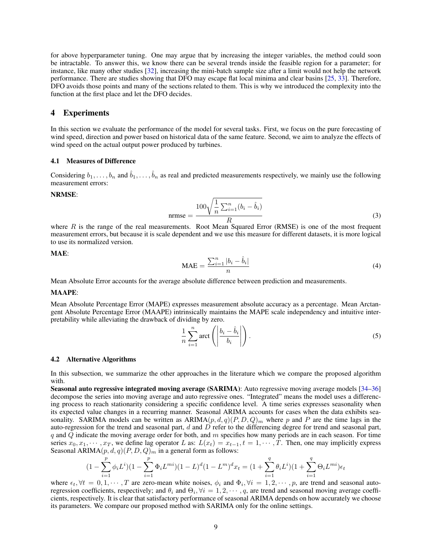for above hyperparameter tuning. One may argue that by increasing the integer variables, the method could soon be intractable. To answer this, we know there can be several trends inside the feasible region for a parameter; for instance, like many other studies [32], increasing the mini-batch sample size after a limit would not help the network performance. There are studies showing that DFO may escape flat local minima and clear basins [25, 33]. Therefore, DFO avoids those points and many of the sections related to them. This is why we introduced the complexity into the function at the first place and let the DFO decides.

#### 4 Experiments

In this section we evaluate the performance of the model for several tasks. First, we focus on the pure forecasting of wind speed, direction and power based on historical data of the same feature. Second, we aim to analyze the effects of wind speed on the actual output power produced by turbines.

#### 4.1 Measures of Difference

Considering  $b_1, \ldots, b_n$  and  $\hat{b}_1, \ldots, \hat{b}_n$  as real and predicted measurements respectively, we mainly use the following measurement errors:

#### NRMSE:

$$
n \text{rrmse} = \frac{100\sqrt{\frac{1}{n}\sum_{i=1}^{n}(b_i - \hat{b}_i)}}{R}
$$
\n(3)

where  $R$  is the range of the real measurements. Root Mean Squared Error (RMSE) is one of the most frequent measurement errors, but because it is scale dependent and we use this measure for different datasets, it is more logical to use its normalized version.

MAE:

$$
\text{MAE} = \frac{\sum_{i=1}^{n} |b_i - \hat{b}_i|}{n} \tag{4}
$$

Mean Absolute Error accounts for the average absolute difference between prediction and measurements.

#### MAAPE:

Mean Absolute Percentage Error (MAPE) expresses measurement absolute accuracy as a percentage. Mean Arctangent Absolute Percentage Error (MAAPE) intrinsically maintains the MAPE scale independency and intuitive interpretability while alleviating the drawback of dividing by zero.

$$
\frac{1}{n}\sum_{i=1}^{n}\text{arct}\left(\left|\frac{b_i-\hat{b}_i}{b_i}\right|\right). \tag{5}
$$

#### 4.2 Alternative Algorithms

In this subsection, we summarize the other approaches in the literature which we compare the proposed algorithm with.

Seasonal auto regressive integrated moving average (SARIMA): Auto regressive moving average models [34–36] decompose the series into moving average and auto regressive ones. "Integrated" means the model uses a differencing process to reach stationarity considering a specific confidence level. A time series expresses seasonality when its expected value changes in a recurring manner. Seasonal ARIMA accounts for cases when the data exhibits seasonality. SARIMA models can be written as  $ARIMA(p, d, q)(P, D, Q)<sub>m</sub>$  where p and P are the time lags in the auto-regression for the trend and seasonal part,  $d$  and  $D$  refer to the differencing degree for trend and seasonal part, q and  $Q$  indicate the moving average order for both, and  $m$  specifies how many periods are in each season. For time series  $x_0, x_1, \dots, x_T$ , we define lag operator L as:  $L(x_t) = x_{t-1}, t = 1, \dots, T$ . Then, one may implicitly express Seasonal ARIMA $(p, d, q)(P, D, Q)<sub>m</sub>$  in a general form as follows:

$$
(1 - \sum_{i=1}^{p} \phi_i L^i)(1 - \sum_{i=1}^{p} \Phi_i L^{mi})(1 - L)^d (1 - L^m)^d x_t = (1 + \sum_{i=1}^{q} \theta_i L^i)(1 + \sum_{i=1}^{q} \Theta_i L^{mi}) \epsilon_t
$$

where  $\epsilon_t$ ,  $\forall t = 0, 1, \dots, T$  are zero-mean white noises,  $\phi_i$  and  $\Phi_i$ ,  $\forall i = 1, 2, \dots, p$ , are trend and seasonal autoregression coefficients, respectively; and  $\theta_i$  and  $\Theta_i$ ,  $\forall i = 1, 2, \cdots, q$ , are trend and seasonal moving average coefficients, respectively. It is clear that satisfactory performance of seasonal ARIMA depends on how accurately we choose its parameters. We compare our proposed method with SARIMA only for the online settings.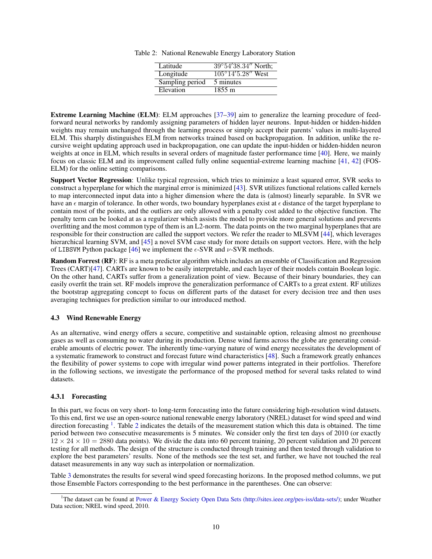Table 2: National Renewable Energy Laboratory Station

| Latitude        | $39^{\circ}54'38.34''$ North;          |
|-----------------|----------------------------------------|
| Longitude       | $105^{\circ}14'5.\overline{28''}$ West |
| Sampling period | 5 minutes                              |
| Elevation       | 1855 m                                 |

Extreme Learning Machine (ELM): ELM approaches [37–39] aim to generalize the learning procedure of feedforward neural networks by randomly assigning parameters of hidden layer neurons. Input-hidden or hidden-hidden weights may remain unchanged through the learning process or simply accept their parents' values in multi-layered ELM. This sharply distinguishes ELM from networks trained based on backpropagation. In addition, unlike the recursive weight updating approach used in backpropagation, one can update the input-hidden or hidden-hidden neuron weights at once in ELM, which results in several orders of magnitude faster performance time [40]. Here, we mainly focus on classic ELM and its improvement called fully online sequential-extreme learning machine [41, 42] (FOS-ELM) for the online setting comparisons.

Support Vector Regression: Unlike typical regression, which tries to minimize a least squared error, SVR seeks to construct a hyperplane for which the marginal error is minimized [43]. SVR utilizes functional relations called kernels to map interconnected input data into a higher dimension where the data is (almost) linearly separable. In SVR we have an  $\epsilon$  margin of tolerance. In other words, two boundary hyperplanes exist at  $\epsilon$  distance of the target hyperplane to contain most of the points, and the outliers are only allowed with a penalty cost added to the objective function. The penalty term can be looked at as a regularizer which assists the model to provide more general solutions and prevents overfitting and the most common type of them is an L2-norm. The data points on the two marginal hyperplanes that are responsible for their construction are called the support vectors. We refer the reader to MLSVM [44], which leverages hierarchical learning SVM, and [45] a novel SVM case study for more details on support vectors. Here, with the help of LIBSVM Python package [46] we implement the  $\epsilon$ -SVR and  $\nu$ -SVR methods.

Random Forrest (RF): RF is a meta predictor algorithm which includes an ensemble of Classification and Regression Trees (CART)[47]. CARTs are known to be easily interpretable, and each layer of their models contain Boolean logic. On the other hand, CARTs suffer from a generalization point of view. Because of their binary boundaries, they can easily overfit the train set. RF models improve the generalization performance of CARTs to a great extent. RF utilizes the bootstrap aggregating concept to focus on different parts of the dataset for every decision tree and then uses averaging techniques for prediction similar to our introduced method.

#### 4.3 Wind Renewable Energy

As an alternative, wind energy offers a secure, competitive and sustainable option, releasing almost no greenhouse gases as well as consuming no water during its production. Dense wind farms across the globe are generating considerable amounts of electric power. The inherently time-varying nature of wind energy necessitates the development of a systematic framework to construct and forecast future wind characteristics [48]. Such a framework greatly enhances the flexibility of power systems to cope with irregular wind power patterns integrated in their portfolios. Therefore in the following sections, we investigate the performance of the proposed method for several tasks related to wind datasets.

#### 4.3.1 Forecasting

In this part, we focus on very short- to long-term forecasting into the future considering high-resolution wind datasets. To this end, first we use an open-source national renewable energy laboratory (NREL) dataset for wind speed and wind direction forecasting  $<sup>1</sup>$ . Table 2 indicates the details of the measurement station which this data is obtained. The time</sup> period between two consecutive measurements is 5 minutes. We consider only the first ten days of 2010 (or exactly  $12 \times 24 \times 10 = 2880$  data points). We divide the data into 60 percent training, 20 percent validation and 20 percent testing for all methods. The design of the structure is conducted through training and then tested through validation to explore the best parameters' results. None of the methods see the test set, and further, we have not touched the real dataset measurements in any way such as interpolation or normalization.

Table 3 demonstrates the results for several wind speed forecasting horizons. In the proposed method columns, we put those Ensemble Factors corresponding to the best performance in the parentheses. One can observe:

<sup>&</sup>lt;sup>1</sup>The dataset can be found at Power & Energy Society Open Data Sets (http://sites.ieee.org/pes-iss/data-sets/); under Weather Data section; NREL wind speed, 2010.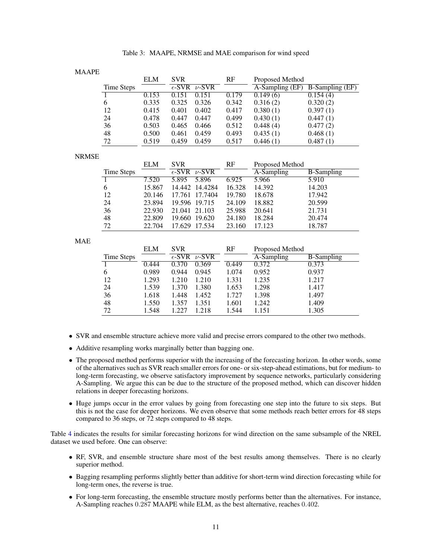| Table 3: MAAPE, NRMSE and MAE comparison for wind speed |
|---------------------------------------------------------|
|---------------------------------------------------------|

#### MAAPE

|            | <b>ELM</b> | <b>SVR</b> |                            | RF    | Proposed Method               |                        |
|------------|------------|------------|----------------------------|-------|-------------------------------|------------------------|
| Time Steps |            |            | $\epsilon$ -SVR $\nu$ -SVR |       | $\overline{A}$ -Sampling (EF) | <b>B-Sampling (EF)</b> |
|            | 0.153      | 0.151      | 0.151                      | 0.179 | 0.149(6)                      | 0.154(4)               |
| 6          | 0.335      | 0.325      | 0.326                      | 0.342 | 0.316(2)                      | 0.320(2)               |
| 12         | 0.415      | 0.401      | 0.402                      | 0.417 | 0.380(1)                      | 0.397(1)               |
| 24         | 0.478      | 0.447      | 0.447                      | 0.499 | 0.430(1)                      | 0.447(1)               |
| 36         | 0.503      | 0.465      | 0.466                      | 0.512 | 0.448(4)                      | 0.477(2)               |
| 48         | 0.500      | 0.461      | 0.459                      | 0.493 | 0.435(1)                      | 0.468(1)               |
| 72         | 0.519      | 0.459      | 0.459                      | 0.517 | 0.446(1)                      | 0.487(1)               |

#### **NRMSE**

|            | <b>ELM</b> | <b>SVR</b>                             | RF     | Proposed Method |                   |
|------------|------------|----------------------------------------|--------|-----------------|-------------------|
| Time Steps |            | $\overline{\epsilon\text{-SVR}}$ v-SVR |        | A-Sampling      | <b>B-Sampling</b> |
|            | 7.520      | 5.896<br>5.895                         | 6.925  | 5.966           | 5.910             |
| 6          | 15.867     | 14.442 14.4284                         | 16.328 | 14.392          | 14.203            |
| 12         | 20.146     | 17.761<br>17.7404                      | 19.780 | 18.678          | 17.942            |
| 24         | 23.894     | 19.596 19.715                          | 24.109 | 18.882          | 20.599            |
| 36         | 22.930     | 21.041 21.103                          | 25.988 | 20.641          | 21.731            |
| 48         | 22.809     | 19.620<br>19.660                       | 24.180 | 18.284          | 20.474            |
| 72         | 22.704     | 17.629<br>17.534                       | 23.160 | 17.123          | 18.787            |

MAE

|            | <b>ELM</b> | <b>SVR</b> |                            | RF    | Proposed Method |                   |
|------------|------------|------------|----------------------------|-------|-----------------|-------------------|
| Time Steps |            |            | $\epsilon$ -SVR $\nu$ -SVR |       | A-Sampling      | <b>B-Sampling</b> |
|            | 0.444      | 0.370      | 0.369                      | 0.449 | 0.372           | 0.373             |
| 6          | 0.989      | 0.944      | 0.945                      | 1.074 | 0.952           | 0.937             |
| 12         | 1.293      | 1.210      | 1.210                      | 1.331 | 1.235           | 1.217             |
| 24         | 1.539      | 1.370      | 1.380                      | 1.653 | 1.298           | 1.417             |
| 36         | 1.618      | 1.448      | 1.452                      | 1.727 | 1.398           | 1.497             |
| 48         | 1.550      | 1.357      | 1.351                      | 1.601 | 1.242           | 1.409             |
| 72         | 1.548      | 1.227      | 1.218                      | 1.544 | 1.151           | 1.305             |

- SVR and ensemble structure achieve more valid and precise errors compared to the other two methods.
- Additive resampling works marginally better than bagging one.
- The proposed method performs superior with the increasing of the forecasting horizon. In other words, some of the alternatives such as SVR reach smaller errors for one- or six-step-ahead estimations, but for medium- to long-term forecasting, we observe satisfactory improvement by sequence networks, particularly considering A-Sampling. We argue this can be due to the structure of the proposed method, which can discover hidden relations in deeper forecasting horizons.
- Huge jumps occur in the error values by going from forecasting one step into the future to six steps. But this is not the case for deeper horizons. We even observe that some methods reach better errors for 48 steps compared to 36 steps, or 72 steps compared to 48 steps.

Table 4 indicates the results for similar forecasting horizons for wind direction on the same subsample of the NREL dataset we used before. One can observe:

- RF, SVR, and ensemble structure share most of the best results among themselves. There is no clearly superior method.
- Bagging resampling performs slightly better than additive for short-term wind direction forecasting while for long-term ones, the reverse is true.
- For long-term forecasting, the ensemble structure mostly performs better than the alternatives. For instance, A-Sampling reaches 0.287 MAAPE while ELM, as the best alternative, reaches 0.402.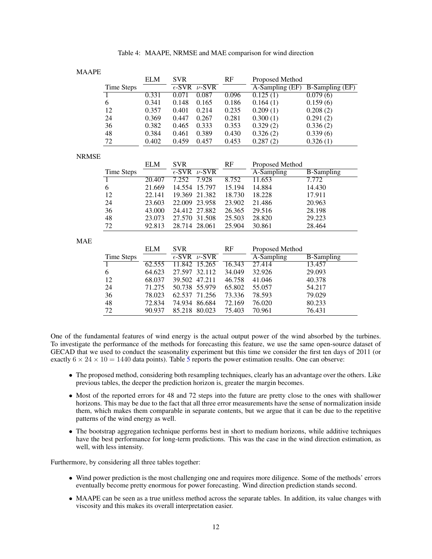| Table 4: MAAPE, NRMSE and MAE comparison for wind direction |  |
|-------------------------------------------------------------|--|
|-------------------------------------------------------------|--|

| МA<br>,,<br>. А г | D |
|-------------------|---|
|-------------------|---|

|              |                   | <b>ELM</b> | <b>SVR</b>      |               | RF     | Proposed Method |                        |
|--------------|-------------------|------------|-----------------|---------------|--------|-----------------|------------------------|
|              | Time Steps        |            | $\epsilon$ -SVR | $\nu$ -SVR    |        | A-Sampling (EF) | <b>B-Sampling (EF)</b> |
|              | 1                 | 0.331      | 0.071           | 0.087         | 0.096  | 0.125(1)        | 0.079(6)               |
|              | 6                 | 0.341      | 0.148           | 0.165         | 0.186  | 0.164(1)        | 0.159(6)               |
|              | 12                | 0.357      | 0.401           | 0.214         | 0.235  | 0.209(1)        | 0.208(2)               |
|              | 24                | 0.369      | 0.447           | 0.267         | 0.281  | 0.300(1)        | 0.291(2)               |
|              | 36                | 0.382      | 0.465           | 0.333         | 0.353  | 0.329(2)        | 0.336(2)               |
|              | 48                | 0.384      | 0.461           | 0.389         | 0.430  | 0.326(2)        | 0.339(6)               |
|              | 72                | 0.402      | 0.459           | 0.457         | 0.453  | 0.287(2)        | 0.326(1)               |
| <b>NRMSE</b> |                   |            |                 |               |        |                 |                        |
|              |                   | <b>ELM</b> | <b>SVR</b>      |               | RF     | Proposed Method |                        |
|              | <b>Time Steps</b> |            | $\epsilon$ -SVR | $\nu$ -SVR    |        | A-Sampling      | <b>B-Sampling</b>      |
|              | $\overline{1}$    | 20.407     | 7.252           | 7.928         | 8.752  | 11.653          | 7.772                  |
|              | 6                 | 21.669     | 14.554          | 15.797        | 15.194 | 14.884          | 14.430                 |
|              | 12                | 22.141     | 19.369          | 21.382        | 18.730 | 18.228          | 17.911                 |
|              | 24                | 23.603     | 22.009          | 23.958        | 23.902 | 21.486          | 20.963                 |
|              | 36                | 43.000     | 24.412          | 27.882        | 26.365 | 29.516          | 28.198                 |
|              | 48                | 23.073     | 27.570          | 31.508        | 25.503 | 28.820          | 29.223                 |
|              | 72                | 92.813     |                 | 28.714 28.061 | 25.904 | 30.861          | 28.464                 |
| MAE          |                   |            |                 |               |        |                 |                        |
|              |                   | <b>ELM</b> | <b>SVR</b>      |               | RF     | Proposed Method |                        |
|              | Time Steps        |            | $\epsilon$ -SVR | $\nu$ -SVR    |        | A-Sampling      | <b>B-Sampling</b>      |
|              | 1                 | 62.555     | 11.842          | 15.265        | 16.343 | 27.414          | 13.457                 |
|              | 6                 | 64.623     | 27.597          | 32.112        | 34.049 | 32.926          | 29.093                 |
|              | 12 <sub>2</sub>   | 68.037     | 39.502          | 47.211        | 46.758 | 41.046          | 40.378                 |

One of the fundamental features of wind energy is the actual output power of the wind absorbed by the turbines. To investigate the performance of the methods for forecasting this feature, we use the same open-source dataset of GECAD that we used to conduct the seasonality experiment but this time we consider the first ten days of 2011 (or exactly  $6 \times 24 \times 10 = 1440$  data points). Table 5 reports the power estimation results. One can observe:

12 68.037 39.502 47.211 46.758 41.046 40.378<br>24 71.275 50.738 55.979 65.802 55.057 54.217 24 71.275 50.738 55.979 65.802 55.057 54.217<br>36 78.023 62.537 71.256 73.336 78.593 79.029

72 90.937 85.218 80.023 75.403 70.961 76.431

48 72.834 74.934 86.684 72.169 76.020 80.233

36 78.023 62.537 71.256 73.336 78.593<br>48 72.834 74.934 86.684 72.169 76.020

- The proposed method, considering both resampling techniques, clearly has an advantage over the others. Like previous tables, the deeper the prediction horizon is, greater the margin becomes.
- Most of the reported errors for 48 and 72 steps into the future are pretty close to the ones with shallower horizons. This may be due to the fact that all three error measurements have the sense of normalization inside them, which makes them comparable in separate contents, but we argue that it can be due to the repetitive patterns of the wind energy as well.
- The bootstrap aggregation technique performs best in short to medium horizons, while additive techniques have the best performance for long-term predictions. This was the case in the wind direction estimation, as well, with less intensity.

Furthermore, by considering all three tables together:

- Wind power prediction is the most challenging one and requires more diligence. Some of the methods' errors eventually become pretty enormous for power forecasting. Wind direction prediction stands second.
- MAAPE can be seen as a true unitless method across the separate tables. In addition, its value changes with viscosity and this makes its overall interpretation easier.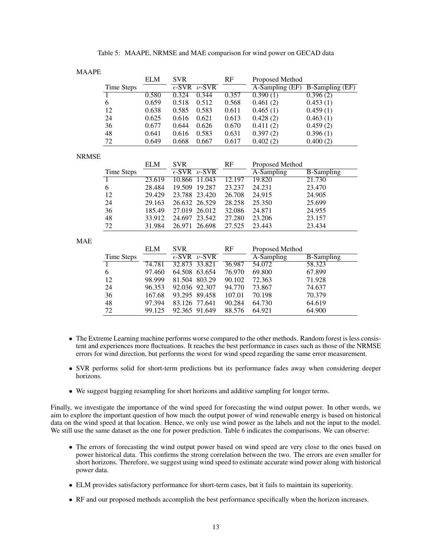|  |  |  | Table 5: MAAPE, NRMSE and MAE comparison for wind power on GECAD data |
|--|--|--|-----------------------------------------------------------------------|
|--|--|--|-----------------------------------------------------------------------|

|            | <b>ELM</b> | <b>SVR</b> |                            | <b>RF</b> | Proposed Method |                        |
|------------|------------|------------|----------------------------|-----------|-----------------|------------------------|
| Time Steps |            |            | $\epsilon$ -SVR $\nu$ -SVR |           | A-Sampling (EF) | <b>B-Sampling (EF)</b> |
|            | 0.580      | 0.324      | 0.344                      | 0.357     | 0.390(1)        | 0.396(2)               |
| 6          | 0.659      | 0.518      | 0.512                      | 0.568     | 0.461(2)        | 0.453(1)               |
| 12         | 0.638      | 0.585      | 0.583                      | 0.611     | 0.465(1)        | 0.459(1)               |
| 24         | 0.625      | 0.616      | 0.621                      | 0.613     | 0.428(2)        | 0.463(1)               |
| 36         | 0.677      | 0.644      | 0.626                      | 0.670     | 0.411(2)        | 0.459(2)               |
| 48         | 0.641      | 0.616      | 0.583                      | 0.631     | 0.397(2)        | 0.396(1)               |
| 72         | 0.649      | 0.668      | 0.667                      | 0.617     | 0.402(2)        | 0.400(2)               |

#### NRMSE

|            | <b>ELM</b> | <b>SVR</b>                 | RF     | Proposed Method |                   |
|------------|------------|----------------------------|--------|-----------------|-------------------|
| Time Steps |            | $\epsilon$ -SVR $\nu$ -SVR |        | A-Sampling      | <b>B-Sampling</b> |
|            | 23.619     | 11.043<br>10.866           | 12.197 | 19.820          | 21.730            |
| 6          | 28.484     | 19.287<br>19.509           | 23.237 | 24.231          | 23.470            |
| 12         | 29.429     | 23.788 23.420              | 26.708 | 24.915          | 24.905            |
| 24         | 29.163     | 26.632 26.529              | 28.258 | 25.350          | 25.699            |
| 36         | 185.49     | 27.019 26.012              | 32.086 | 24.871          | 24.955            |
| 48         | 33.912     | 24.697<br>23.542           | 27.280 | 23.206          | 23.157            |
| 72         | 31.984     | 26.698<br>26.971           | 27.525 | 23.443          | 23.434            |

MAE

|            | <b>ELM</b> | <b>SVR</b>                 | RF     | Proposed Method |                   |
|------------|------------|----------------------------|--------|-----------------|-------------------|
| Time Steps |            | $\epsilon$ -SVR $\nu$ -SVR |        | A-Sampling      | <b>B-Sampling</b> |
|            | 74.781     | 32.873 33.821              | 36.987 | 54.072          | 58.323            |
| 6          | 97.460     | 64.508 63.654              | 76.970 | 69.800          | 67.899            |
| 12         | 98.999     | 81.504 803.29              | 90.102 | 72.363          | 71.928            |
| 24         | 96.353     | 92.036 92.307              | 94.770 | 73.867          | 74.637            |
| 36         | 167.68     | 93.295 89.458              | 107.01 | 70.198          | 70.379            |
| 48         | 97.394     | 83.126 77.641              | 90.284 | 64.730          | 64.619            |
| 72         | 99.125     | 92.365 91.649              | 88.576 | 64.921          | 64.900            |

- The Extreme Learning machine performs worse compared to the other methods. Random forest is less consistent and experiences more fluctuations. It reaches the best performance in cases such as those of the NRMSE errors for wind direction, but performs the worst for wind speed regarding the same error measurement.
- SVR performs solid for short-term predictions but its performance fades away when considering deeper horizons.
- We suggest bagging resampling for short horizons and additive sampling for longer terms.

Finally, we investigate the importance of the wind speed for forecasting the wind output power. In other words, we aim to explore the important question of how much the output power of wind renewable energy is based on historical data on the wind speed at that location. Hence, we only use wind power as the labels and not the input to the model. We still use the same dataset as the one for power prediction. Table 6 indicates the comparisons. We can observe:

- The errors of forecasting the wind output power based on wind speed are very close to the ones based on power historical data. This confirms the strong correlation between the two. The errors are even smaller for short horizons. Therefore, we suggest using wind speed to estimate accurate wind power along with historical power data.
- ELM provides satisfactory performance for short-term cases, but it fails to maintain its superiority.
- RF and our proposed methods accomplish the best performance specifically when the horizon increases.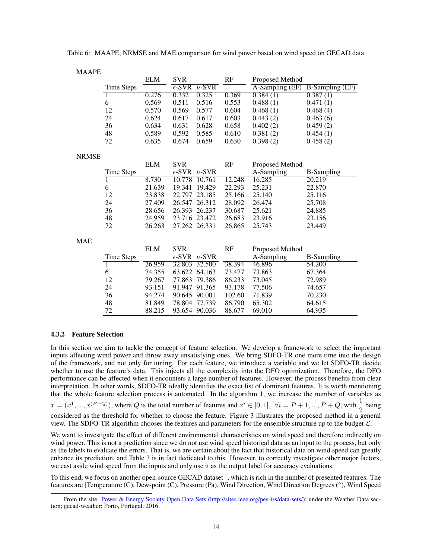| <b>MAAPE</b> |                   |            |                                  |               |        |                 |                        |
|--------------|-------------------|------------|----------------------------------|---------------|--------|-----------------|------------------------|
|              |                   | <b>ELM</b> | <b>SVR</b>                       |               | RF     | Proposed Method |                        |
|              | Time Steps        |            | $\overline{\epsilon\text{-SVR}}$ | $\nu$ -SVR    |        | A-Sampling (EF) | <b>B-Sampling (EF)</b> |
|              | 1                 | 0.276      | 0.332                            | 0.325         | 0.369  | 0.384(1)        | 0.387(1)               |
|              | 6                 | 0.569      | 0.511                            | 0.516         | 0.553  | 0.488(1)        | 0.471(1)               |
|              | 12                | 0.570      | 0.569                            | 0.577         | 0.604  | 0.468(1)        | 0.468(4)               |
|              | 24                | 0.624      | 0.617                            | 0.617         | 0.603  | 0.443(2)        | 0.463(6)               |
|              | 36                | 0.634      | 0.631                            | 0.628         | 0.658  | 0.402(2)        | 0.459(2)               |
|              | 48                | 0.589      | 0.592                            | 0.585         | 0.610  | 0.381(2)        | 0.454(1)               |
|              | 72                | 0.635      | 0.674                            | 0.659         | 0.630  | 0.398(2)        | 0.458(2)               |
| <b>NRMSE</b> |                   |            |                                  |               |        |                 |                        |
|              |                   | <b>ELM</b> | <b>SVR</b>                       |               | RF     | Proposed Method |                        |
|              | Time Steps        |            | $\overline{\epsilon\text{-SVR}}$ | $\nu$ -SVR    |        | A-Sampling      | <b>B-Sampling</b>      |
|              | 1                 | 8.730      | 10.778                           | 10.761        | 12.248 | 16.285          | 20.219                 |
|              | 6                 | 21.639     | 19.341                           | 19.429        | 22.293 | 25.231          | 22.870                 |
|              | 12                | 23.838     | 22.797                           | 23.185        | 25.166 | 25.140          | 25.116                 |
|              | 24                | 27.409     | 26.547                           | 26.312        | 28.092 | 26.474          | 25.708                 |
|              | 36                | 28.656     | 26.393                           | 26.237        | 30.687 | 25.621          | 24.885                 |
|              | 48                | 24.959     | 23.716                           | 23.472        | 26.683 | 23.916          | 23.156                 |
|              | 72                | 26.263     |                                  | 27.262 26.331 | 26.865 | 25.743          | 23.449                 |
| <b>MAE</b>   |                   |            |                                  |               |        |                 |                        |
|              |                   | <b>ELM</b> | <b>SVR</b>                       |               | RF     | Proposed Method |                        |
|              | <b>Time Steps</b> |            | $\overline{\epsilon\text{-SVR}}$ | $\nu$ -SVR    |        | A-Sampling      | <b>B-Sampling</b>      |
|              | 1                 | 26.959     | 32.803                           | 32.500        | 38.394 | 46.896          | 54.200                 |
|              | 6                 | 74.355     | 63.622                           | 64.163        | 73.477 | 73.863          | 67.364                 |
|              | 12                | 79.267     | 77.863                           | 79.386        | 86.233 | 73.045          | 72.989                 |
|              | 24                | 93.151     | 91.947                           | 91.365        | 93.178 | 77.506          | 74.657                 |
|              | 36                | 94.274     | 90.645                           | 90.001        | 102.60 | 71.839          | 70.230                 |
|              | 48                | 81.849     | 78.804                           | 77.739        | 86.790 | 65.302          | 64.615                 |
|              | 72                | 88.215     |                                  | 93.654 90.036 | 88.677 | 69.010          | 64.935                 |

Table 6: MAAPE, NRMSE and MAE comparison for wind power based on wind speed on GECAD data

#### 4.3.2 Feature Selection

In this section we aim to tackle the concept of feature selection. We develop a framework to select the important inputs affecting wind power and throw away unsatisfying ones. We bring SDFO-TR one more time into the design of the framework, and not only for tuning. For each feature, we introduce a variable and we let SDFO-TR decide whether to use the feature's data. This injects all the complexity into the DFO optimization. Therefore, the DFO performance can be affected when it encounters a large number of features. However, the process benefits from clear interpretation. In other words, SDFO-TR ideally identifies the exact list of dominant features. It is worth mentioning that the whole feature selection process is automated. In the algorithm 1, we increase the number of variables as

 $x = (x^1, ..., x^{(P+Q)})$ , where Q is the total number of features and  $x^i \in [0, 1]$ ,  $\forall i = P+1, ..., P+Q$ , with  $\frac{1}{2}$  being considered as the threshold for whether to choose the feature. Figure 3 illustrates the proposed method in a general

view. The SDFO-TR algorithm chooses the features and parameters for the ensemble structure up to the budget  $\mathcal{L}$ . We want to investigate the effect of different environmental characteristics on wind speed and therefore indirectly on wind power. This is not a prediction since we do not use wind speed historical data as an input to the process, but only

as the labels to evaluate the errors. That is, we are certain about the fact that historical data on wind speed can greatly enhance its prediction, and Table 3 is in fact dedicated to this. However, to correctly investigate other major factors, we cast aside wind speed from the inputs and only use it as the output label for accuracy evaluations.

To this end, we focus on another open-source GECAD dataset <sup>1</sup>, which is rich in the number of presented features. The features are [Temperature (C), Dew-point (C), Pressure (Pa), Wind Direction, Wind Direction Degrees (°), Wind Speed

<sup>&</sup>lt;sup>1</sup> From the site: Power & Energy Society Open Data Sets (http://sites.ieee.org/pes-iss/data-sets/); under the Weather Data section; gecad-weather; Porto, Portugal, 2016.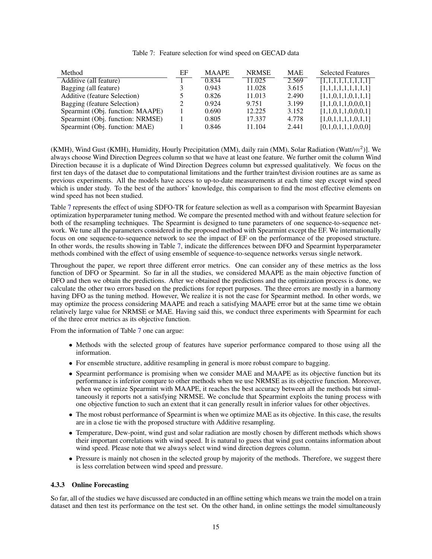#### Table 7: Feature selection for wind speed on GECAD data

| Method                              | ЕF | <b>MAAPE</b> | <b>NRMSE</b> | <b>MAE</b> | <b>Selected Features</b> |
|-------------------------------------|----|--------------|--------------|------------|--------------------------|
| Additive (all feature)              |    | 0.834        | 11.025       | 2.569      | [1,1,1,1,1,1,1,1,1,1]    |
| Bagging (all feature)               |    | 0.943        | 11.028       | 3.615      | [1,1,1,1,1,1,1,1,1]      |
| <b>Additive (feature Selection)</b> |    | 0.826        | 11.013       | 2.490      | [1,1,0,1,1,0,1,1,1]      |
| Bagging (feature Selection)         |    | 0.924        | 9.751        | 3.199      | [1,1,0,1,1,0,0,0,1]      |
| Spearmint (Obj. function: MAAPE)    |    | 0.690        | 12.225       | 3.152      | [1,1,0,1,1,0,0,0,1]      |
| Spearmint (Obj. function: NRMSE)    |    | 0.805        | 17.337       | 4.778      | [1,0,1,1,1,1,0,1,1]      |
| Spearmint (Obj. function: MAE)      |    | 0.846        | 11.104       | 2.441      | [0,1,0,1,1,1,0,0,0]      |

(KMH), Wind Gust (KMH), Humidity, Hourly Precipitation (MM), daily rain (MM), Solar Radiation (Watt/ $m^2$ )]. We always choose Wind Direction Degrees column so that we have at least one feature. We further omit the column Wind Direction because it is a duplicate of Wind Direction Degrees column but expressed qualitatively. We focus on the first ten days of the dataset due to computational limitations and the further train/test division routines are as same as previous experiments. All the models have access to up-to-date measurements at each time step except wind speed which is under study. To the best of the authors' knowledge, this comparison to find the most effective elements on wind speed has not been studied.

Table 7 represents the effect of using SDFO-TR for feature selection as well as a comparison with Spearmint Bayesian optimization hyperparameter tuning method. We compare the presented method with and without feature selection for both of the resampling techniques. The Spearmint is designed to tune parameters of one sequence-to-sequence network. We tune all the parameters considered in the proposed method with Spearmint except the EF. We internationally focus on one sequence-to-sequence network to see the impact of EF on the performance of the proposed structure. In other words, the results showing in Table 7, indicate the differences between DFO and Spearmint hyperparameter methods combined with the effect of using ensemble of sequence-to-sequence networks versus single network.

Throughout the paper, we report three different error metrics. One can consider any of these metrics as the loss function of DFO or Spearmint. So far in all the studies, we considered MAAPE as the main objective function of DFO and then we obtain the predictions. After we obtained the predictions and the optimization process is done, we calculate the other two errors based on the predictions for report purposes. The three errors are mostly in a harmony having DFO as the tuning method. However, We realize it is not the case for Spearmint method. In other words, we may optimize the process considering MAAPE and reach a satisfying MAAPE error but at the same time we obtain relatively large value for NRMSE or MAE. Having said this, we conduct three experiments with Spearmint for each of the three error metrics as its objective function.

From the information of Table 7 one can argue:

- Methods with the selected group of features have superior performance compared to those using all the information.
- For ensemble structure, additive resampling in general is more robust compare to bagging.
- Spearmint performance is promising when we consider MAE and MAAPE as its objective function but its performance is inferior compare to other methods when we use NRMSE as its objective function. Moreover, when we optimize Spearmint with MAAPE, it reaches the best accuracy between all the methods but simultaneously it reports not a satisfying NRMSE. We conclude that Spearmint exploits the tuning process with one objective function to such an extent that it can generally result in inferior values for other objectives.
- The most robust performance of Spearmint is when we optimize MAE as its objective. In this case, the results are in a close tie with the proposed structure with Additive resampling.
- Temperature, Dew-point, wind gust and solar radiation are mostly chosen by different methods which shows their important correlations with wind speed. It is natural to guess that wind gust contains information about wind speed. Please note that we always select wind wind direction degrees column.
- Pressure is mainly not chosen in the selected group by majority of the methods. Therefore, we suggest there is less correlation between wind speed and pressure.

#### 4.3.3 Online Forecasting

So far, all of the studies we have discussed are conducted in an offline setting which means we train the model on a train dataset and then test its performance on the test set. On the other hand, in online settings the model simultaneously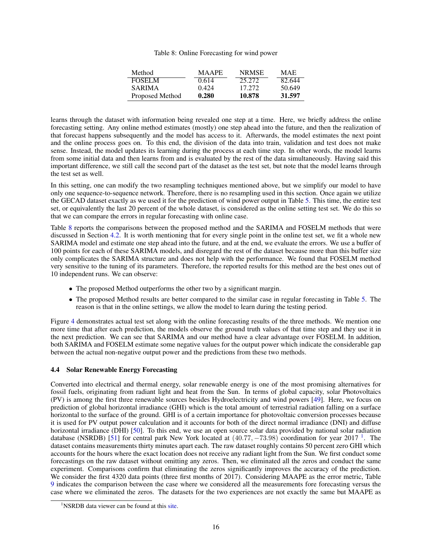#### Table 8: Online Forecasting for wind power

| Method          | <b>MAAPE</b> | <b>NRMSE</b> | <b>MAE</b> |
|-----------------|--------------|--------------|------------|
| <b>FOSELM</b>   | 0.614        | 25.272       | 82.644     |
| <b>SARIMA</b>   | 0.424        | 17.272       | 50.649     |
| Proposed Method | 0.280        | 10.878       | 31.597     |

learns through the dataset with information being revealed one step at a time. Here, we briefly address the online forecasting setting. Any online method estimates (mostly) one step ahead into the future, and then the realization of that forecast happens subsequently and the model has access to it. Afterwards, the model estimates the next point and the online process goes on. To this end, the division of the data into train, validation and test does not make sense. Instead, the model updates its learning during the process at each time step. In other words, the model learns from some initial data and then learns from and is evaluated by the rest of the data simultaneously. Having said this important difference, we still call the second part of the dataset as the test set, but note that the model learns through the test set as well.

In this setting, one can modify the two resampling techniques mentioned above, but we simplify our model to have only one sequence-to-sequence network. Therefore, there is no resampling used in this section. Once again we utilize the GECAD dataset exactly as we used it for the prediction of wind power output in Table 5. This time, the entire test set, or equivalently the last 20 percent of the whole dataset, is considered as the online setting test set. We do this so that we can compare the errors in regular forecasting with online case.

Table 8 reports the comparisons between the proposed method and the SARIMA and FOSELM methods that were discussed in Section 4.2. It is worth mentioning that for every single point in the online test set, we fit a whole new SARIMA model and estimate one step ahead into the future, and at the end, we evaluate the errors. We use a buffer of 100 points for each of these SARIMA models, and disregard the rest of the dataset because more than this buffer size only complicates the SARIMA structure and does not help with the performance. We found that FOSELM method very sensitive to the tuning of its parameters. Therefore, the reported results for this method are the best ones out of 10 independent runs. We can observe:

- The proposed Method outperforms the other two by a significant margin.
- The proposed Method results are better compared to the similar case in regular forecasting in Table 5. The reason is that in the online settings, we allow the model to learn during the testing period.

Figure 4 demonstrates actual test set along with the online forecasting results of the three methods. We mention one more time that after each prediction, the models observe the ground truth values of that time step and they use it in the next prediction. We can see that SARIMA and our method have a clear advantage over FOSELM. In addition, both SARIMA and FOSELM estimate some negative values for the output power which indicate the considerable gap between the actual non-negative output power and the predictions from these two methods.

#### 4.4 Solar Renewable Energy Forecasting

Converted into electrical and thermal energy, solar renewable energy is one of the most promising alternatives for fossil fuels, originating from radiant light and heat from the Sun. In terms of global capacity, solar Photovoltaics (PV) is among the first three renewable sources besides Hydroelectricity and wind powers [49]. Here, we focus on prediction of global horizontal irradiance (GHI) which is the total amount of terrestrial radiation falling on a surface horizontal to the surface of the ground. GHI is of a certain importance for photovoltaic conversion processes because it is used for PV output power calculation and it accounts for both of the direct normal irradiance (DNI) and diffuse horizontal irradiance (DHI) [50]. To this end, we use an open source solar data provided by national solar radiation database (NSRDB) [51] for central park New York located at  $(40.77, -73.98)$  coordination for year  $2017<sup>-1</sup>$ . The dataset contains measurements thirty minutes apart each. The raw dataset roughly contains 50 percent zero GHI which accounts for the hours where the exact location does not receive any radiant light from the Sun. We first conduct some forecastings on the raw dataset without omitting any zeros. Then, we eliminated all the zeros and conduct the same experiment. Comparisons confirm that eliminating the zeros significantly improves the accuracy of the prediction. We consider the first 4320 data points (three first months of 2017). Considering MAAPE as the error metric, Table 9 indicates the comparison between the case where we considered all the measurements fore forecasting versus the case where we eliminated the zeros. The datasets for the two experiences are not exactly the same but MAAPE as

<sup>&</sup>lt;sup>1</sup>NSRDB data viewer can be found at this site.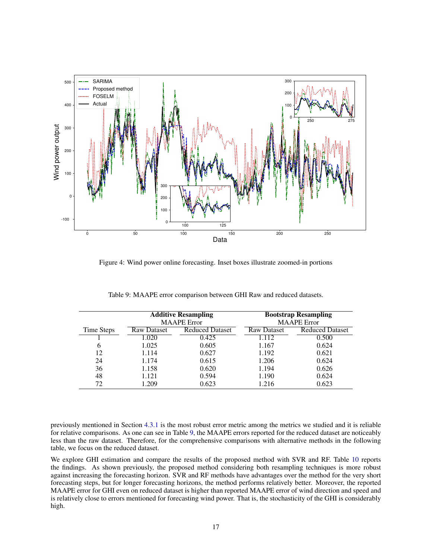

Figure 4: Wind power online forecasting. Inset boxes illustrate zoomed-in portions

|            |                    | <b>Additive Resampling</b><br><b>MAAPE</b> Error | <b>Bootstrap Resampling</b><br><b>MAAPE</b> Error |                        |  |
|------------|--------------------|--------------------------------------------------|---------------------------------------------------|------------------------|--|
| Time Steps | <b>Raw Dataset</b> | <b>Reduced Dataset</b>                           | <b>Raw Dataset</b>                                | <b>Reduced Dataset</b> |  |
|            | 1.020              | 0.425                                            | 1.112                                             | 0.500                  |  |
| 6          | 1.025              | 0.605                                            | 1.167                                             | 0.624                  |  |
| 12         | 1.114              | 0.627                                            | 1.192                                             | 0.621                  |  |
| 24         | 1.174              | 0.615                                            | 1.206                                             | 0.624                  |  |
| 36         | 1.158              | 0.620                                            | 1.194                                             | 0.626                  |  |
| 48         | 1.121              | 0.594                                            | 1.190                                             | 0.624                  |  |
| 72         | 1.209              | 0.623                                            | 1.216                                             | 0.623                  |  |

Table 9: MAAPE error comparison between GHI Raw and reduced datasets.

previously mentioned in Section 4.3.1 is the most robust error metric among the metrics we studied and it is reliable for relative comparisons. As one can see in Table 9, the MAAPE errors reported for the reduced dataset are noticeably less than the raw dataset. Therefore, for the comprehensive comparisons with alternative methods in the following table, we focus on the reduced dataset.

We explore GHI estimation and compare the results of the proposed method with SVR and RF. Table 10 reports the findings. As shown previously, the proposed method considering both resampling techniques is more robust against increasing the forecasting horizon. SVR and RF methods have advantages over the method for the very short forecasting steps, but for longer forecasting horizons, the method performs relatively better. Moreover, the reported MAAPE error for GHI even on reduced dataset is higher than reported MAAPE error of wind direction and speed and is relatively close to errors mentioned for forecasting wind power. That is, the stochasticity of the GHI is considerably high.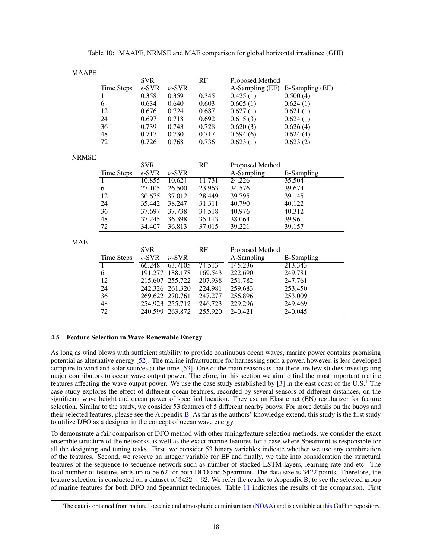| <b>MAAPE</b> |                                     |                 |            |         |                 |                        |
|--------------|-------------------------------------|-----------------|------------|---------|-----------------|------------------------|
|              |                                     | <b>SVR</b>      |            | RF      | Proposed Method |                        |
|              | <b>Time Steps</b>                   | $\epsilon$ -SVR | $\nu$ -SVR |         | A-Sampling (EF) | <b>B-Sampling (EF)</b> |
|              | $\overline{1}$                      | 0.358           | 0.359      | 0.345   | 0.425(1)        | 0.500(4)               |
|              | 6                                   | 0.634           | 0.640      | 0.603   | 0.605(1)        | 0.624(1)               |
|              | 12                                  | 0.676           | 0.724      | 0.687   | 0.627(1)        | 0.621(1)               |
|              | 24                                  | 0.697           | 0.718      | 0.692   | 0.615(3)        | 0.624(1)               |
|              | 36                                  | 0.739           | 0.743      | 0.728   | 0.620(3)        | 0.626(4)               |
|              | 48                                  | 0.717           | 0.730      | 0.717   | 0.594(6)        | 0.624(4)               |
|              | 72                                  | 0.726           | 0.768      | 0.736   | 0.623(1)        | 0.623(2)               |
|              |                                     |                 |            |         |                 |                        |
| <b>NRMSE</b> |                                     |                 |            |         |                 |                        |
|              |                                     | <b>SVR</b>      |            | RF      | Proposed Method |                        |
|              | Time Steps                          | $\epsilon$ -SVR | $\nu$ -SVR |         | A-Sampling      | <b>B-Sampling</b>      |
|              | $\overline{1}$                      | 10.855          | 10.624     | 11.731  | 24.226          | 35.504                 |
|              | 6                                   | 27.105          | 26.500     | 23.963  | 34.576          | 39.674                 |
|              | 12                                  | 30.675          | 37.012     | 28.449  | 39.795          | 39.145                 |
|              | 24                                  | 35.442          | 38.247     | 31.311  | 40.790          | 40.122                 |
|              | 36                                  | 37.697          | 37.738     | 34.518  | 40.976          | 40.312                 |
|              | 48                                  | 37.245          | 36.398     | 35.113  | 38.064          | 39.961                 |
|              | 72                                  | 34.407          | 36.813     | 37.015  | 39.221          | 39.157                 |
| <b>MAE</b>   |                                     |                 |            |         |                 |                        |
|              |                                     |                 |            |         |                 |                        |
|              |                                     | <b>SVR</b>      |            | RF      | Proposed Method |                        |
|              | <b>Time Steps</b><br>$\overline{1}$ | $\epsilon$ -SVR | $\nu$ -SVR |         | A-Sampling      | <b>B</b> -Sampling     |
|              |                                     | 66.248          | 63.7105    | 74.513  | 145.236         | 213.343                |
|              | 6                                   | 191.277         | 188.178    | 169.543 | 222.690         | 249.781                |

12 215.607 255.722 207.938 251.782 247.761 24 242.326 261.320 224.981 259.683 253.450 36 269.622 270.761 247.277 256.896 253.009 48 254.923 255.712 246.723 229.296 249.469 72 240.599 263.872 255.920 240.421 240.045

#### 4.5 Feature Selection in Wave Renewable Energy

As long as wind blows with sufficient stability to provide continuous ocean waves, marine power contains promising potential as alternative energy [52]. The marine infrastructure for harnessing such a power, however, is less developed compare to wind and solar sources at the time [53]. One of the main reasons is that there are few studies investigating major contributors to ocean wave output power. Therefore, in this section we aim to find the most important marine features affecting the wave output power. We use the case study established by [3] in the east coast of the U.S.<sup>1</sup> The case study explores the effect of different ocean features, recorded by several sensors of different distances, on the significant wave height and ocean power of specified location. They use an Elastic net (EN) regularizer for feature selection. Similar to the study, we consider 53 features of 5 different nearby buoys. For more details on the buoys and their selected features, please see the Appendix B. As far as the authors' knowledge extend, this study is the first study to utilize DFO as a designer in the concept of ocean wave energy.

To demonstrate a fair comparison of DFO method with other tuning/feature selection methods, we consider the exact ensemble structure of the networks as well as the exact marine features for a case where Spearmint is responsible for all the designing and tuning tasks. First, we consider 53 binary variables indicate whether we use any combination of the features. Second, we reserve an integer variable for EF and finally, we take into consideration the structural features of the sequence-to-sequence network such as number of stacked LSTM layers, learning rate and etc. The total number of features ends up to be 62 for both DFO and Spearmint. The data size is 3422 points. Therefore, the feature selection is conducted on a dataset of  $3422 \times 62$ . We refer the reader to Appendix B, to see the selected group of marine features for both DFO and Spearmint techniques. Table 11 indicates the results of the comparison. First

 ${}^{1}$ The data is obtained from national oceanic and atmospheric administration (NOAA) and is available at this GitHub repository.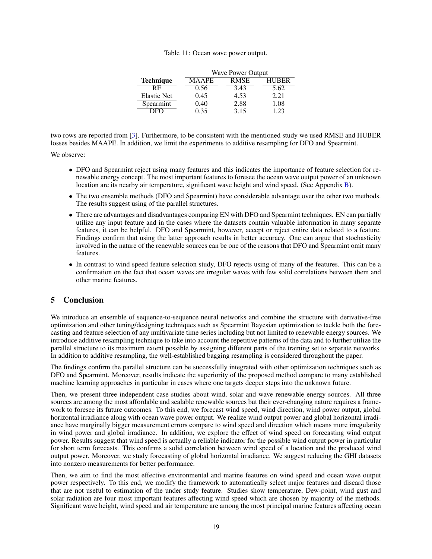#### Table 11: Ocean wave power output.

|                    | <b>Wave Power Output</b> |             |              |  |  |  |  |  |
|--------------------|--------------------------|-------------|--------------|--|--|--|--|--|
| <b>Technique</b>   | <b>MAAPE</b>             | <b>RMSE</b> | <b>HUBER</b> |  |  |  |  |  |
| RF                 | 0.56                     | 3.43        | 5.62         |  |  |  |  |  |
| <b>Elastic Net</b> | 0.45                     | 4.53        | 2.21         |  |  |  |  |  |
| Spearmint          | 0.40                     | 2.88        | 1.08         |  |  |  |  |  |
|                    | 0.35                     | 3.15        | 1 23         |  |  |  |  |  |

two rows are reported from [3]. Furthermore, to be consistent with the mentioned study we used RMSE and HUBER losses besides MAAPE. In addition, we limit the experiments to additive resampling for DFO and Spearmint.

We observe:

- DFO and Spearmint reject using many features and this indicates the importance of feature selection for renewable energy concept. The most important features to foresee the ocean wave output power of an unknown location are its nearby air temperature, significant wave height and wind speed. (See Appendix B).
- The two ensemble methods (DFO and Spearmint) have considerable advantage over the other two methods. The results suggest using of the parallel structures.
- There are advantages and disadvantages comparing EN with DFO and Spearmint techniques. EN can partially utilize any input feature and in the cases where the datasets contain valuable information in many separate features, it can be helpful. DFO and Spearmint, however, accept or reject entire data related to a feature. Findings confirm that using the latter approach results in better accuracy. One can argue that stochasticity involved in the nature of the renewable sources can be one of the reasons that DFO and Spearmint omit many features.
- In contrast to wind speed feature selection study, DFO rejects using of many of the features. This can be a confirmation on the fact that ocean waves are irregular waves with few solid correlations between them and other marine features.

#### 5 Conclusion

We introduce an ensemble of sequence-to-sequence neural networks and combine the structure with derivative-free optimization and other tuning/designing techniques such as Spearmint Bayesian optimization to tackle both the forecasting and feature selection of any multivariate time series including but not limited to renewable energy sources. We introduce additive resampling technique to take into account the repetitive patterns of the data and to further utilize the parallel structure to its maximum extent possible by assigning different parts of the training set to separate networks. In addition to additive resampling, the well-established bagging resampling is considered throughout the paper.

The findings confirm the parallel structure can be successfully integrated with other optimization techniques such as DFO and Spearmint. Moreover, results indicate the superiority of the proposed method compare to many established machine learning approaches in particular in cases where one targets deeper steps into the unknown future.

Then, we present three independent case studies about wind, solar and wave renewable energy sources. All three sources are among the most affordable and scalable renewable sources but their ever-changing nature requires a framework to foresee its future outcomes. To this end, we forecast wind speed, wind direction, wind power output, global horizontal irradiance along with ocean wave power output. We realize wind output power and global horizontal irradiance have marginally bigger measurement errors compare to wind speed and direction which means more irregularity in wind power and global irradiance. In addition, we explore the effect of wind speed on forecasting wind output power. Results suggest that wind speed is actually a reliable indicator for the possible wind output power in particular for short term forecasts. This confirms a solid correlation between wind speed of a location and the produced wind output power. Moreover, we study forecasting of global horizontal irradiance. We suggest reducing the GHI datasets into nonzero measurements for better performance.

Then, we aim to find the most effective environmental and marine features on wind speed and ocean wave output power respectively. To this end, we modify the framework to automatically select major features and discard those that are not useful to estimation of the under study feature. Studies show temperature, Dew-point, wind gust and solar radiation are four most important features affecting wind speed which are chosen by majority of the methods. Significant wave height, wind speed and air temperature are among the most principal marine features affecting ocean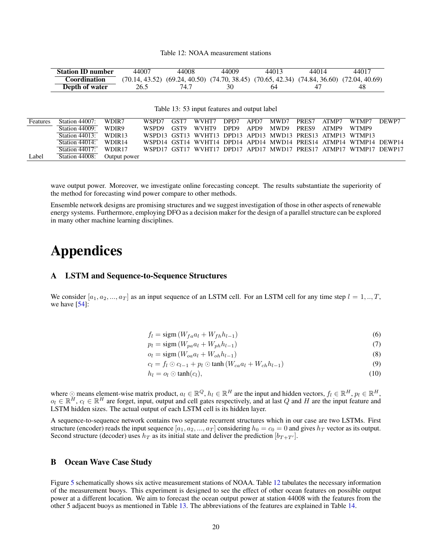#### Table 12: NOAA measurement stations

| <b>Station ID number</b> | 44007 | 44008 | 44009                                                                                                 | 44013 | 44014 | 44017 |
|--------------------------|-------|-------|-------------------------------------------------------------------------------------------------------|-------|-------|-------|
| Coordination             |       |       | $(70.14, 43.52)$ $(69.24, 40.50)$ $(74.70, 38.45)$ $(70.65, 42.34)$ $(74.84, 36.60)$ $(72.04, 40.69)$ |       |       |       |
| Depth of water           | 26.5  | 74.7  | 30                                                                                                    | 64    | 47    | 48    |

Table 13: 53 input features and output label

| <b>Features</b> | Station $44007$ :        | WDIR7              | WSPD7 | GST7 | WVHT7                                                             | DPD7 | APD7 | MWD7       | PRES7 | ATMP7 | WTMP7 | DEWP7 |
|-----------------|--------------------------|--------------------|-------|------|-------------------------------------------------------------------|------|------|------------|-------|-------|-------|-------|
|                 | Station 44009:           | WDIR9              | WSPD9 | GST9 | WVHT9                                                             | DPD9 | APD9 | MWD9 PRES9 |       | ATMP9 | WTMP9 |       |
|                 | Station $44013$ : WDIR13 |                    |       |      | WSPD13 GST13 WVHT13 DPD13 APD13 MWD13 PRES13 ATMP13 WTMP13        |      |      |            |       |       |       |       |
|                 | Station $44014$ :        | WDIR <sub>14</sub> |       |      | WSPD14 GST14 WVHT14 DPD14 APD14 MWD14 PRES14 ATMP14 WTMP14 DEWP14 |      |      |            |       |       |       |       |
|                 | Station $44017$ :        | WDIR <sub>17</sub> |       |      | WSPD17 GST17 WVHT17 DPD17 APD17 MWD17 PRES17 ATMP17 WTMP17 DEWP17 |      |      |            |       |       |       |       |
| Label           | Station 44008:           | Output power       |       |      |                                                                   |      |      |            |       |       |       |       |

wave output power. Moreover, we investigate online forecasting concept. The results substantiate the superiority of the method for forecasting wind power compare to other methods.

Ensemble network designs are promising structures and we suggest investigation of those in other aspects of renewable energy systems. Furthermore, employing DFO as a decision maker for the design of a parallel structure can be explored in many other machine learning disciplines.

## Appendices

#### A LSTM and Sequence-to-Sequence Structures

We consider  $[a_1, a_2, ..., a_T]$  as an input sequence of an LSTM cell. For an LSTM cell for any time step  $l = 1, ..., T$ , we have [54]:

 $f_l = \text{sigm}(W_{fa}a_l + W_{fh}h_{l-1})$  (6)

$$
p_l = \text{sigm}(W_{pa}a_l + W_{ph}h_{l-1})\tag{7}
$$

 $o_l = \text{sign}(W_{oa}a_l + W_{oh}h_{l-1})$  (8)

$$
c_l = f_l \odot c_{l-1} + p_l \odot \tanh\left(W_{ca}a_l + W_{ch}h_{l-1}\right) \tag{9}
$$

 $h_l = o_l \odot \tanh(c_l),$  (10)

where  $\odot$  means element-wise matrix product,  $a_l \in \mathbb{R}^Q$ ,  $h_l \in \mathbb{R}^H$  are the input and hidden vectors,  $f_l \in \mathbb{R}^H$ ,  $p_l \in \mathbb{R}^H$ ,  $o_l \in \mathbb{R}^H$ ,  $c_l \in \mathbb{R}^H$  are forget, input, output and cell gates respectively, and at last Q and H are the input feature and LSTM hidden sizes. The actual output of each LSTM cell is its hidden layer.

A sequence-to-sequence network contains two separate recurrent structures which in our case are two LSTMs. First structure (encoder) reads the input sequence  $[a_1, a_2, ..., a_T]$  considering  $h_0 = c_0 = 0$  and gives  $h_T$  vector as its output. Second structure (decoder) uses  $h_T$  as its initial state and deliver the prediction  $[b_{T+T'}]$ .

#### B Ocean Wave Case Study

Figure 5 schematically shows six active measurement stations of NOAA. Table 12 tabulates the necessary information of the measurement buoys. This experiment is designed to see the effect of other ocean features on possible output power at a different location. We aim to forecast the ocean output power at station 44008 with the features from the other 5 adjacent buoys as mentioned in Table 13. The abbreviations of the features are explained in Table 14.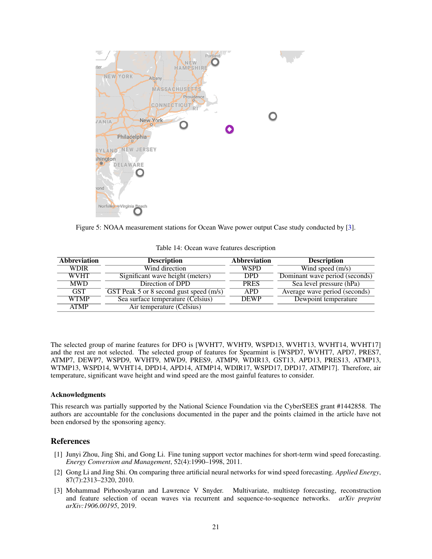

Figure 5: NOAA measurement stations for Ocean Wave power output Case study conducted by [3].

|  |  |  |  | Table 14: Ocean wave features description |
|--|--|--|--|-------------------------------------------|
|--|--|--|--|-------------------------------------------|

| <b>Abbreviation</b> | <b>Description</b>                      | <b>Abbreviation</b> | <b>Description</b>             |
|---------------------|-----------------------------------------|---------------------|--------------------------------|
| <b>WDIR</b>         | Wind direction                          | <b>WSPD</b>         | Wind speed $(m/s)$             |
| <b>WVHT</b>         | Significant wave height (meters)        | <b>DPD</b>          | Dominant wave period (seconds) |
| <b>MWD</b>          | Direction of DPD                        | <b>PRES</b>         | Sea level pressure (hPa)       |
| <b>GST</b>          | GST Peak 5 or 8 second gust speed (m/s) | <b>APD</b>          | Average wave period (seconds)  |
| <b>WTMP</b>         | Sea surface temperature (Celsius)       | <b>DEWP</b>         | Dewpoint temperature           |
| <b>ATMP</b>         | Air temperature (Celsius)               |                     |                                |

The selected group of marine features for DFO is [WVHT7, WVHT9, WSPD13, WVHT13, WVHT14, WVHT17] and the rest are not selected. The selected group of features for Spearmint is [WSPD7, WVHT7, APD7, PRES7, ATMP7, DEWP7, WSPD9, WVHT9, MWD9, PRES9, ATMP9, WDIR13, GST13, APD13, PRES13, ATMP13, WTMP13, WSPD14, WVHT14, DPD14, APD14, ATMP14, WDIR17, WSPD17, DPD17, ATMP17]. Therefore, air temperature, significant wave height and wind speed are the most gainful features to consider.

#### Acknowledgments

This research was partially supported by the National Science Foundation via the CyberSEES grant #1442858. The authors are accountable for the conclusions documented in the paper and the points claimed in the article have not been endorsed by the sponsoring agency.

#### References

- [1] Junyi Zhou, Jing Shi, and Gong Li. Fine tuning support vector machines for short-term wind speed forecasting. *Energy Conversion and Management*, 52(4):1990–1998, 2011.
- [2] Gong Li and Jing Shi. On comparing three artificial neural networks for wind speed forecasting. *Applied Energy*, 87(7):2313–2320, 2010.
- [3] Mohammad Pirhooshyaran and Lawrence V Snyder. Multivariate, multistep forecasting, reconstruction and feature selection of ocean waves via recurrent and sequence-to-sequence networks. *arXiv preprint arXiv:1906.00195*, 2019.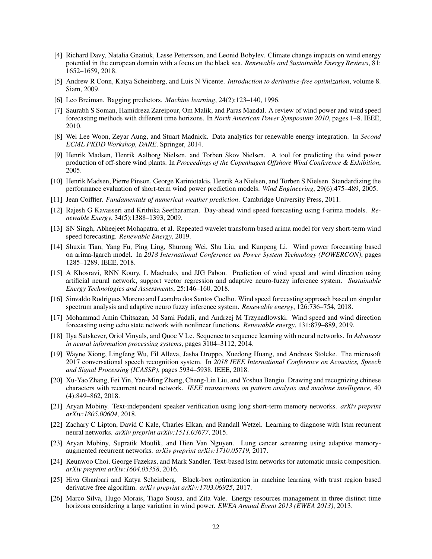- [4] Richard Davy, Natalia Gnatiuk, Lasse Pettersson, and Leonid Bobylev. Climate change impacts on wind energy potential in the european domain with a focus on the black sea. *Renewable and Sustainable Energy Reviews*, 81: 1652–1659, 2018.
- [5] Andrew R Conn, Katya Scheinberg, and Luis N Vicente. *Introduction to derivative-free optimization*, volume 8. Siam, 2009.
- [6] Leo Breiman. Bagging predictors. *Machine learning*, 24(2):123–140, 1996.
- [7] Saurabh S Soman, Hamidreza Zareipour, Om Malik, and Paras Mandal. A review of wind power and wind speed forecasting methods with different time horizons. In *North American Power Symposium 2010*, pages 1–8. IEEE, 2010.
- [8] Wei Lee Woon, Zeyar Aung, and Stuart Madnick. Data analytics for renewable energy integration. In *Second ECML PKDD Workshop, DARE*. Springer, 2014.
- [9] Henrik Madsen, Henrik Aalborg Nielsen, and Torben Skov Nielsen. A tool for predicting the wind power production of off-shore wind plants. In *Proceedings of the Copenhagen Offshore Wind Conference & Exhibition*, 2005.
- [10] Henrik Madsen, Pierre Pinson, George Kariniotakis, Henrik Aa Nielsen, and Torben S Nielsen. Standardizing the performance evaluation of short-term wind power prediction models. *Wind Engineering*, 29(6):475–489, 2005.
- [11] Jean Coiffier. *Fundamentals of numerical weather prediction*. Cambridge University Press, 2011.
- [12] Rajesh G Kavasseri and Krithika Seetharaman. Day-ahead wind speed forecasting using f-arima models. *Renewable Energy*, 34(5):1388–1393, 2009.
- [13] SN Singh, Abheejeet Mohapatra, et al. Repeated wavelet transform based arima model for very short-term wind speed forecasting. *Renewable Energy*, 2019.
- [14] Shuxin Tian, Yang Fu, Ping Ling, Shurong Wei, Shu Liu, and Kunpeng Li. Wind power forecasting based on arima-lgarch model. In *2018 International Conference on Power System Technology (POWERCON)*, pages 1285–1289. IEEE, 2018.
- [15] A Khosravi, RNN Koury, L Machado, and JJG Pabon. Prediction of wind speed and wind direction using artificial neural network, support vector regression and adaptive neuro-fuzzy inference system. *Sustainable Energy Technologies and Assessments*, 25:146–160, 2018.
- [16] Sinvaldo Rodrigues Moreno and Leandro dos Santos Coelho. Wind speed forecasting approach based on singular spectrum analysis and adaptive neuro fuzzy inference system. *Renewable energy*, 126:736–754, 2018.
- [17] Mohammad Amin Chitsazan, M Sami Fadali, and Andrzej M Trzynadlowski. Wind speed and wind direction forecasting using echo state network with nonlinear functions. *Renewable energy*, 131:879–889, 2019.
- [18] Ilya Sutskever, Oriol Vinyals, and Quoc V Le. Sequence to sequence learning with neural networks. In *Advances in neural information processing systems*, pages 3104–3112, 2014.
- [19] Wayne Xiong, Lingfeng Wu, Fil Alleva, Jasha Droppo, Xuedong Huang, and Andreas Stolcke. The microsoft 2017 conversational speech recognition system. In *2018 IEEE International Conference on Acoustics, Speech and Signal Processing (ICASSP)*, pages 5934–5938. IEEE, 2018.
- [20] Xu-Yao Zhang, Fei Yin, Yan-Ming Zhang, Cheng-Lin Liu, and Yoshua Bengio. Drawing and recognizing chinese characters with recurrent neural network. *IEEE transactions on pattern analysis and machine intelligence*, 40 (4):849–862, 2018.
- [21] Aryan Mobiny. Text-independent speaker verification using long short-term memory networks. *arXiv preprint arXiv:1805.00604*, 2018.
- [22] Zachary C Lipton, David C Kale, Charles Elkan, and Randall Wetzel. Learning to diagnose with lstm recurrent neural networks. *arXiv preprint arXiv:1511.03677*, 2015.
- [23] Aryan Mobiny, Supratik Moulik, and Hien Van Nguyen. Lung cancer screening using adaptive memoryaugmented recurrent networks. *arXiv preprint arXiv:1710.05719*, 2017.
- [24] Keunwoo Choi, George Fazekas, and Mark Sandler. Text-based lstm networks for automatic music composition. *arXiv preprint arXiv:1604.05358*, 2016.
- [25] Hiva Ghanbari and Katya Scheinberg. Black-box optimization in machine learning with trust region based derivative free algorithm. *arXiv preprint arXiv:1703.06925*, 2017.
- [26] Marco Silva, Hugo Morais, Tiago Sousa, and Zita Vale. Energy resources management in three distinct time horizons considering a large variation in wind power. *EWEA Annual Event 2013 (EWEA 2013)*, 2013.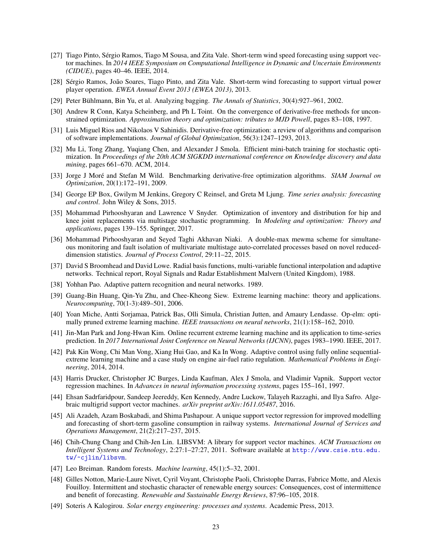- [27] Tiago Pinto, Sergio Ramos, Tiago M Sousa, and Zita Vale. Short-term wind speed forecasting using support vec- ´ tor machines. In *2014 IEEE Symposium on Computational Intelligence in Dynamic and Uncertain Environments (CIDUE)*, pages 40–46. IEEE, 2014.
- [28] Sérgio Ramos, João Soares, Tiago Pinto, and Zita Vale. Short-term wind forecasting to support virtual power player operation. *EWEA Annual Event 2013 (EWEA 2013)*, 2013.
- [29] Peter Bühlmann, Bin Yu, et al. Analyzing bagging. *The Annals of Statistics*, 30(4):927–961, 2002.
- [30] Andrew R Conn, Katya Scheinberg, and Ph L Toint. On the convergence of derivative-free methods for unconstrained optimization. *Approximation theory and optimization: tributes to MJD Powell*, pages 83–108, 1997.
- [31] Luis Miguel Rios and Nikolaos V Sahinidis. Derivative-free optimization: a review of algorithms and comparison of software implementations. *Journal of Global Optimization*, 56(3):1247–1293, 2013.
- [32] Mu Li, Tong Zhang, Yuqiang Chen, and Alexander J Smola. Efficient mini-batch training for stochastic optimization. In *Proceedings of the 20th ACM SIGKDD international conference on Knowledge discovery and data mining*, pages 661–670. ACM, 2014.
- [33] Jorge J More and Stefan M Wild. Benchmarking derivative-free optimization algorithms. ´ *SIAM Journal on Optimization*, 20(1):172–191, 2009.
- [34] George EP Box, Gwilym M Jenkins, Gregory C Reinsel, and Greta M Ljung. *Time series analysis: forecasting and control*. John Wiley & Sons, 2015.
- [35] Mohammad Pirhooshyaran and Lawrence V Snyder. Optimization of inventory and distribution for hip and knee joint replacements via multistage stochastic programming. In *Modeling and optimization: Theory and applications*, pages 139–155. Springer, 2017.
- [36] Mohammad Pirhooshyaran and Seyed Taghi Akhavan Niaki. A double-max mewma scheme for simultaneous monitoring and fault isolation of multivariate multistage auto-correlated processes based on novel reduceddimension statistics. *Journal of Process Control*, 29:11–22, 2015.
- [37] David S Broomhead and David Lowe. Radial basis functions, multi-variable functional interpolation and adaptive networks. Technical report, Royal Signals and Radar Establishment Malvern (United Kingdom), 1988.
- [38] Yohhan Pao. Adaptive pattern recognition and neural networks. 1989.
- [39] Guang-Bin Huang, Qin-Yu Zhu, and Chee-Kheong Siew. Extreme learning machine: theory and applications. *Neurocomputing*, 70(1-3):489–501, 2006.
- [40] Yoan Miche, Antti Sorjamaa, Patrick Bas, Olli Simula, Christian Jutten, and Amaury Lendasse. Op-elm: optimally pruned extreme learning machine. *IEEE transactions on neural networks*, 21(1):158–162, 2010.
- [41] Jin-Man Park and Jong-Hwan Kim. Online recurrent extreme learning machine and its application to time-series prediction. In *2017 International Joint Conference on Neural Networks (IJCNN)*, pages 1983–1990. IEEE, 2017.
- [42] Pak Kin Wong, Chi Man Vong, Xiang Hui Gao, and Ka In Wong. Adaptive control using fully online sequentialextreme learning machine and a case study on engine air-fuel ratio regulation. *Mathematical Problems in Engineering*, 2014, 2014.
- [43] Harris Drucker, Christopher JC Burges, Linda Kaufman, Alex J Smola, and Vladimir Vapnik. Support vector regression machines. In *Advances in neural information processing systems*, pages 155–161, 1997.
- [44] Ehsan Sadrfaridpour, Sandeep Jeereddy, Ken Kennedy, Andre Luckow, Talayeh Razzaghi, and Ilya Safro. Algebraic multigrid support vector machines. *arXiv preprint arXiv:1611.05487*, 2016.
- [45] Ali Azadeh, Azam Boskabadi, and Shima Pashapour. A unique support vector regression for improved modelling and forecasting of short-term gasoline consumption in railway systems. *International Journal of Services and Operations Management*, 21(2):217–237, 2015.
- [46] Chih-Chung Chang and Chih-Jen Lin. LIBSVM: A library for support vector machines. *ACM Transactions on Intelligent Systems and Technology*, 2:27:1–27:27, 2011. Software available at http://www.csie.ntu.edu. tw/~cjlin/libsvm.
- [47] Leo Breiman. Random forests. *Machine learning*, 45(1):5–32, 2001.
- [48] Gilles Notton, Marie-Laure Nivet, Cyril Voyant, Christophe Paoli, Christophe Darras, Fabrice Motte, and Alexis Fouilloy. Intermittent and stochastic character of renewable energy sources: Consequences, cost of intermittence and benefit of forecasting. *Renewable and Sustainable Energy Reviews*, 87:96–105, 2018.
- [49] Soteris A Kalogirou. *Solar energy engineering: processes and systems*. Academic Press, 2013.